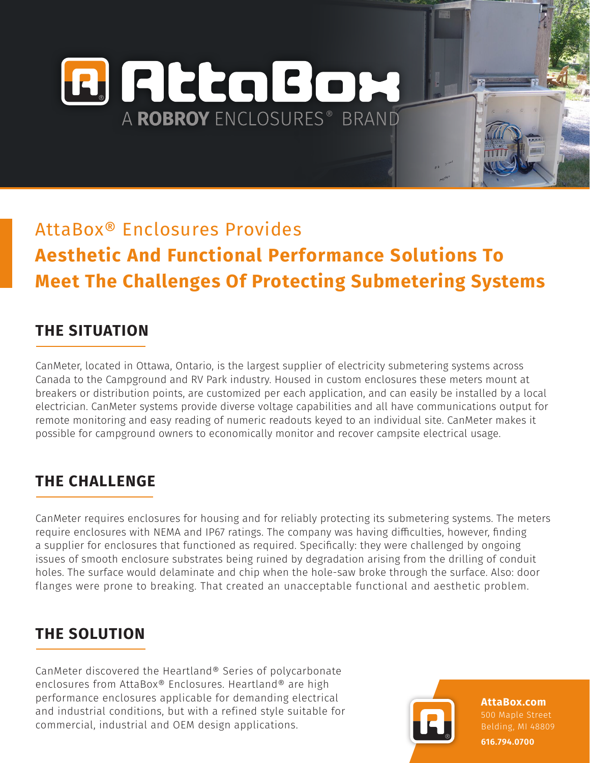**A** RttaBox A ROBROY ENCLOSURES® BRAND

# AttaBox® Enclosures Provides **Aesthetic And Functional Performance Solutions To Meet The Challenges Of Protecting Submetering Systems**

# **THE SITUATION**

CanMeter, located in Ottawa, Ontario, is the largest supplier of electricity submetering systems across Canada to the Campground and RV Park industry. Housed in custom enclosures these meters mount at breakers or distribution points, are customized per each application, and can easily be installed by a local electrician. CanMeter systems provide diverse voltage capabilities and all have communications output for remote monitoring and easy reading of numeric readouts keyed to an individual site. CanMeter makes it possible for campground owners to economically monitor and recover campsite electrical usage.

# **THE CHALLENGE**

CanMeter requires enclosures for housing and for reliably protecting its submetering systems. The meters require enclosures with NEMA and IP67 ratings. The company was having difficulties, however, finding a supplier for enclosures that functioned as required. Specifically: they were challenged by ongoing issues of smooth enclosure substrates being ruined by degradation arising from the drilling of conduit holes. The surface would delaminate and chip when the hole-saw broke through the surface. Also: door flanges were prone to breaking. That created an unacceptable functional and aesthetic problem.

# **THE SOLUTION**

CanMeter discovered the Heartland® Series of polycarbonate enclosures from AttaBox® Enclosures. Heartland® are high performance enclosures applicable for demanding electrical and industrial conditions, but with a refined style suitable for commercial, industrial and OEM design applications.

**AttaBox.com** 500 Maple Street **616.794.0700**